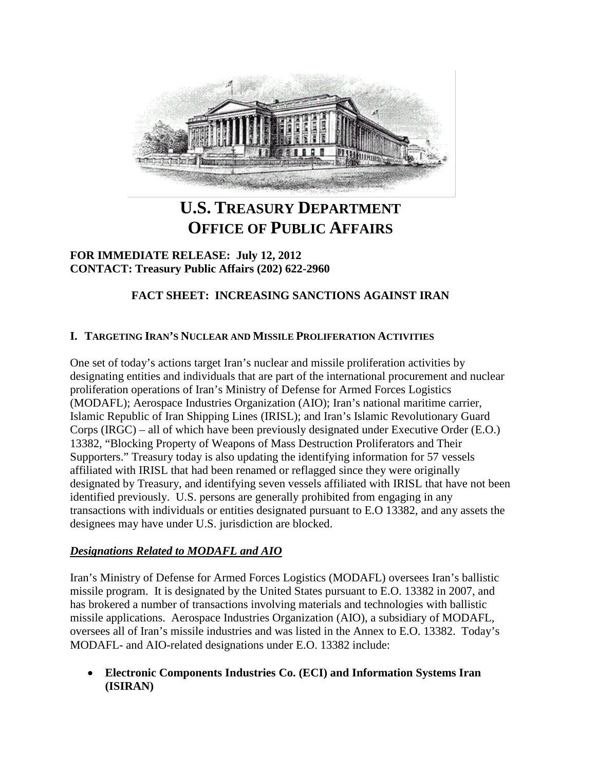

# **U.S. TREASURY DEPARTMENT OFFICE OF PUBLIC AFFAIRS**

## **FOR IMMEDIATE RELEASE: July 12, 2012 CONTACT: Treasury Public Affairs (202) 622-2960**

# **FACT SHEET: INCREASING SANCTIONS AGAINST IRAN**

## **I. TARGETING IRAN'S NUCLEAR AND MISSILE PROLIFERATION ACTIVITIES**

One set of today's actions target Iran's nuclear and missile proliferation activities by designating entities and individuals that are part of the international procurement and nuclear proliferation operations of Iran's Ministry of Defense for Armed Forces Logistics (MODAFL); Aerospace Industries Organization (AIO); Iran's national maritime carrier, Islamic Republic of Iran Shipping Lines (IRISL); and Iran's Islamic Revolutionary Guard Corps (IRGC) – all of which have been previously designated under Executive Order (E.O.) 13382, "Blocking Property of Weapons of Mass Destruction Proliferators and Their Supporters." Treasury today is also updating the identifying information for 57 vessels affiliated with IRISL that had been renamed or reflagged since they were originally designated by Treasury, and identifying seven vessels affiliated with IRISL that have not been identified previously. U.S. persons are generally prohibited from engaging in any transactions with individuals or entities designated pursuant to E.O 13382, and any assets the designees may have under U.S. jurisdiction are blocked.

## *Designations Related to MODAFL and AIO*

Iran's Ministry of Defense for Armed Forces Logistics (MODAFL) oversees Iran's ballistic missile program. It is designated by the United States pursuant to E.O. 13382 in 2007, and has brokered a number of transactions involving materials and technologies with ballistic missile applications. Aerospace Industries Organization (AIO), a subsidiary of MODAFL, oversees all of Iran's missile industries and was listed in the Annex to E.O. 13382. Today's MODAFL- and AIO-related designations under E.O. 13382 include:

• **Electronic Components Industries Co. (ECI) and Information Systems Iran (ISIRAN)**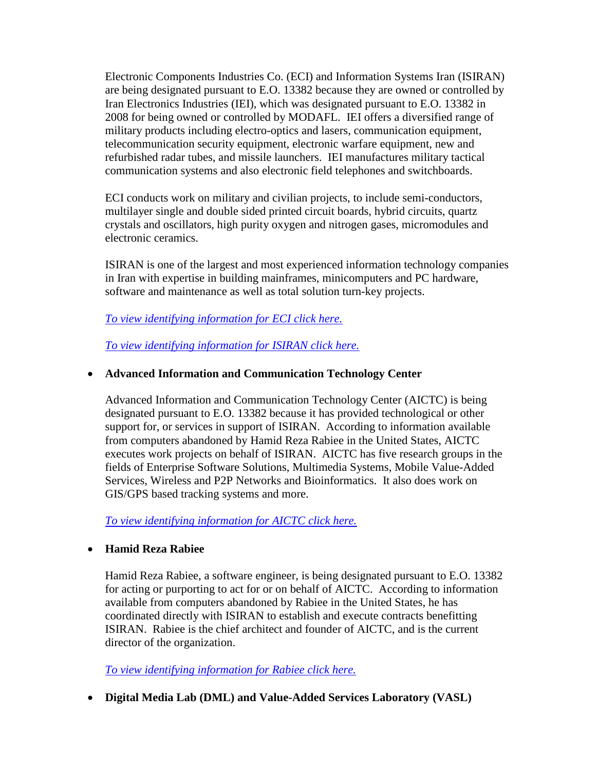Electronic Components Industries Co. (ECI) and Information Systems Iran (ISIRAN) are being designated pursuant to E.O. 13382 because they are owned or controlled by Iran Electronics Industries (IEI), which was designated pursuant to E.O. 13382 in 2008 for being owned or controlled by MODAFL. IEI offers a diversified range of military products including electro-optics and lasers, communication equipment, telecommunication security equipment, electronic warfare equipment, new and refurbished radar tubes, and missile launchers. IEI manufactures military tactical communication systems and also electronic field telephones and switchboards.

ECI conducts work on military and civilian projects, to include semi-conductors, multilayer single and double sided printed circuit boards, hybrid circuits, quartz crystals and oscillators, high purity oxygen and nitrogen gases, micromodules and electronic ceramics.

ISIRAN is one of the largest and most experienced information technology companies in Iran with expertise in building mainframes, minicomputers and PC hardware, software and maintenance as well as total solution turn-key projects.

*[To view identifying information for ECI click here.](http://www.treasury.gov/resource-center/sanctions/OFAC-Enforcement/Pages/20120712.aspx#eci)*

*[To view identifying information for ISIRAN click here.](http://www.treasury.gov/resource-center/sanctions/OFAC-Enforcement/Pages/20120712.aspx#isiran)*

#### • **Advanced Information and Communication Technology Center**

Advanced Information and Communication Technology Center (AICTC) is being designated pursuant to E.O. 13382 because it has provided technological or other support for, or services in support of ISIRAN. According to information available from computers abandoned by Hamid Reza Rabiee in the United States, AICTC executes work projects on behalf of ISIRAN. AICTC has five research groups in the fields of Enterprise Software Solutions, Multimedia Systems, Mobile Value-Added Services, Wireless and P2P Networks and Bioinformatics. It also does work on GIS/GPS based tracking systems and more.

*[To view identifying information for AICTC click here.](http://www.treasury.gov/resource-center/sanctions/OFAC-Enforcement/Pages/20120712.aspx#aictc)*

#### • **Hamid Reza Rabiee**

Hamid Reza Rabiee, a software engineer, is being designated pursuant to E.O. 13382 for acting or purporting to act for or on behalf of AICTC. According to information available from computers abandoned by Rabiee in the United States, he has coordinated directly with ISIRAN to establish and execute contracts benefitting ISIRAN. Rabiee is the chief architect and founder of AICTC, and is the current director of the organization.

*[To view identifying information for Rabiee click here.](http://www.treasury.gov/resource-center/sanctions/OFAC-Enforcement/Pages/20120712.aspx#rabiee)*

• **Digital Media Lab (DML) and Value-Added Services Laboratory (VASL)**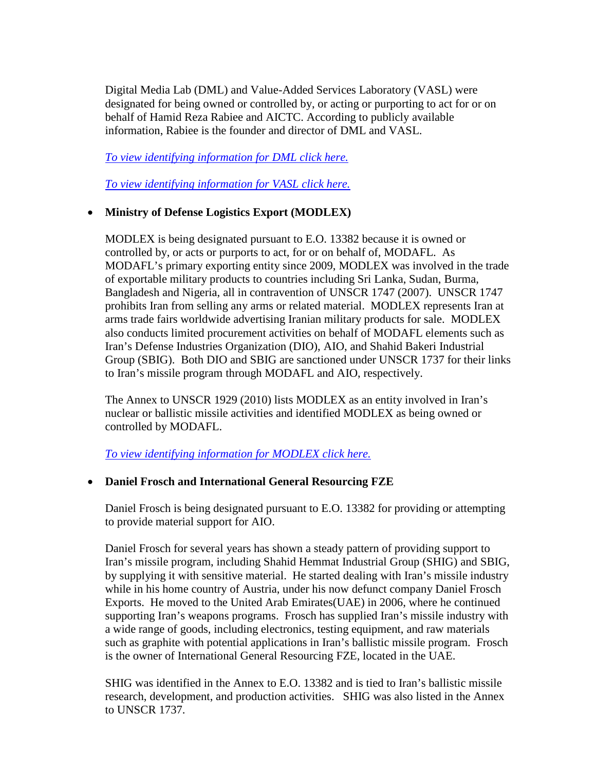Digital Media Lab (DML) and Value-Added Services Laboratory (VASL) were designated for being owned or controlled by, or acting or purporting to act for or on behalf of Hamid Reza Rabiee and AICTC. According to publicly available information, Rabiee is the founder and director of DML and VASL.

*[To view identifying information for DML click here.](http://www.treasury.gov/resource-center/sanctions/OFAC-Enforcement/Pages/20120712.aspx#dml)*

*[To view identifying information for VASL click here.](http://www.treasury.gov/resource-center/sanctions/OFAC-Enforcement/Pages/20120712.aspx#vasl)*

## • **Ministry of Defense Logistics Export (MODLEX)**

MODLEX is being designated pursuant to E.O. 13382 because it is owned or controlled by, or acts or purports to act, for or on behalf of, MODAFL. As MODAFL's primary exporting entity since 2009, MODLEX was involved in the trade of exportable military products to countries including Sri Lanka, Sudan, Burma, Bangladesh and Nigeria, all in contravention of UNSCR 1747 (2007). UNSCR 1747 prohibits Iran from selling any arms or related material. MODLEX represents Iran at arms trade fairs worldwide advertising Iranian military products for sale. MODLEX also conducts limited procurement activities on behalf of MODAFL elements such as Iran's Defense Industries Organization (DIO), AIO, and Shahid Bakeri Industrial Group (SBIG). Both DIO and SBIG are sanctioned under UNSCR 1737 for their links to Iran's missile program through MODAFL and AIO, respectively.

The Annex to UNSCR 1929 (2010) lists MODLEX as an entity involved in Iran's nuclear or ballistic missile activities and identified MODLEX as being owned or controlled by MODAFL.

*[To view identifying information for MODLEX click here.](http://www.treasury.gov/resource-center/sanctions/OFAC-Enforcement/Pages/20120712.aspx#modlex)*

## • **Daniel Frosch and International General Resourcing FZE**

Daniel Frosch is being designated pursuant to E.O. 13382 for providing or attempting to provide material support for AIO.

Daniel Frosch for several years has shown a steady pattern of providing support to Iran's missile program, including Shahid Hemmat Industrial Group (SHIG) and SBIG, by supplying it with sensitive material. He started dealing with Iran's missile industry while in his home country of Austria, under his now defunct company Daniel Frosch Exports. He moved to the United Arab Emirates(UAE) in 2006, where he continued supporting Iran's weapons programs. Frosch has supplied Iran's missile industry with a wide range of goods, including electronics, testing equipment, and raw materials such as graphite with potential applications in Iran's ballistic missile program. Frosch is the owner of International General Resourcing FZE, located in the UAE.

SHIG was identified in the Annex to E.O. 13382 and is tied to Iran's ballistic missile research, development, and production activities. SHIG was also listed in the Annex to UNSCR 1737.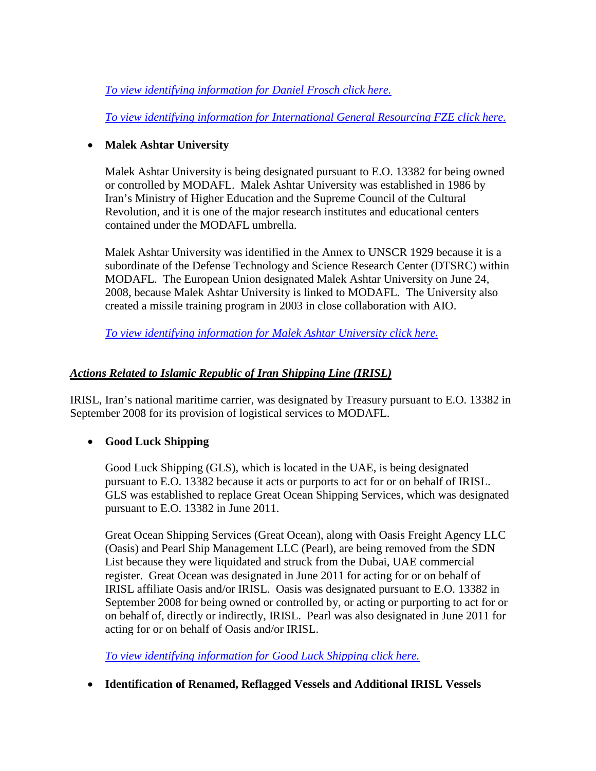*[To view identifying information for Daniel Frosch](http://www.treasury.gov/resource-center/sanctions/OFAC-Enforcement/Pages/20120712.aspx#frosch) click here.*

*[To view identifying information for International General Resourcing FZE click here.](http://www.treasury.gov/resource-center/sanctions/OFAC-Enforcement/Pages/20120712.aspx#fze)*

## • **Malek Ashtar University**

Malek Ashtar University is being designated pursuant to E.O. 13382 for being owned or controlled by MODAFL. Malek Ashtar University was established in 1986 by Iran's Ministry of Higher Education and the Supreme Council of the Cultural Revolution, and it is one of the major research institutes and educational centers contained under the MODAFL umbrella.

Malek Ashtar University was identified in the Annex to UNSCR 1929 because it is a subordinate of the Defense Technology and Science Research Center (DTSRC) within MODAFL. The European Union designated Malek Ashtar University on June 24, 2008, because Malek Ashtar University is linked to MODAFL. The University also created a missile training program in 2003 in close collaboration with AIO.

*[To view identifying information for Malek Ashtar University click here.](http://www.treasury.gov/resource-center/sanctions/OFAC-Enforcement/Pages/20120712.aspx#malek)*

# *Actions Related to Islamic Republic of Iran Shipping Line (IRISL)*

IRISL, Iran's national maritime carrier, was designated by Treasury pursuant to E.O. 13382 in September 2008 for its provision of logistical services to MODAFL.

# • **Good Luck Shipping**

Good Luck Shipping (GLS), which is located in the UAE, is being designated pursuant to E.O. 13382 because it acts or purports to act for or on behalf of IRISL. GLS was established to replace Great Ocean Shipping Services, which was designated pursuant to E.O. 13382 in June 2011.

Great Ocean Shipping Services (Great Ocean), along with Oasis Freight Agency LLC (Oasis) and Pearl Ship Management LLC (Pearl), are being removed from the SDN List because they were liquidated and struck from the Dubai, UAE commercial register. Great Ocean was designated in June 2011 for acting for or on behalf of IRISL affiliate Oasis and/or IRISL. Oasis was designated pursuant to E.O. 13382 in September 2008 for being owned or controlled by, or acting or purporting to act for or on behalf of, directly or indirectly, IRISL. Pearl was also designated in June 2011 for acting for or on behalf of Oasis and/or IRISL.

*[To view identifying information for Good Luck Shipping click here.](http://www.treasury.gov/resource-center/sanctions/OFAC-Enforcement/Pages/20120712.aspx#gls)*

• **Identification of Renamed, Reflagged Vessels and Additional IRISL Vessels**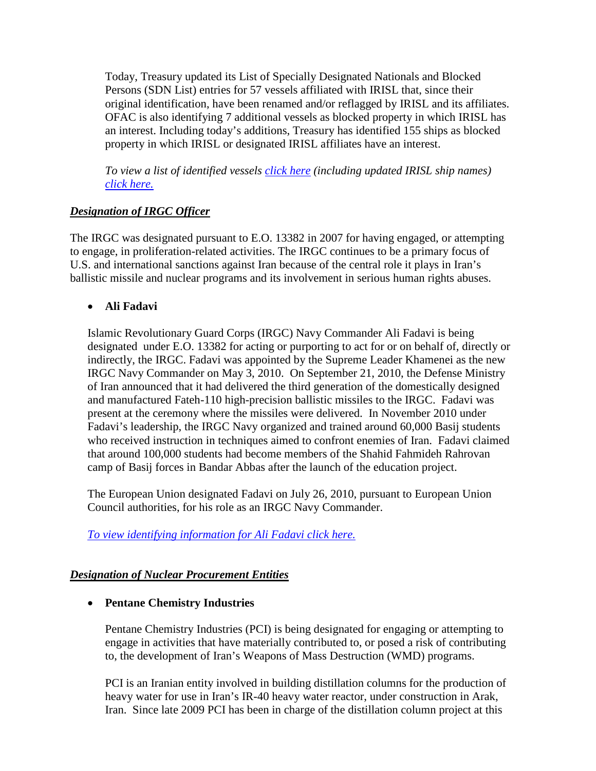Today, Treasury updated its List of Specially Designated Nationals and Blocked Persons (SDN List) entries for 57 vessels affiliated with IRISL that, since their original identification, have been renamed and/or reflagged by IRISL and its affiliates. OFAC is also identifying 7 additional vessels as blocked property in which IRISL has an interest. Including today's additions, Treasury has identified 155 ships as blocked property in which IRISL or designated IRISL affiliates have an interest.

*To view a list of identified vessels [click here](http://www.treasury.gov/resource-center/sanctions/OFAC-Enforcement/Pages/20120712.aspx#vessels) (including updated IRISL ship names) [click here.](http://www.treasury.gov/resource-center/sanctions/OFAC-Enforcement/Pages/20120712.aspx#changes)*

## *Designation of IRGC Officer*

The IRGC was designated pursuant to E.O. 13382 in 2007 for having engaged, or attempting to engage, in proliferation-related activities. The IRGC continues to be a primary focus of U.S. and international sanctions against Iran because of the central role it plays in Iran's ballistic missile and nuclear programs and its involvement in serious human rights abuses.

## • **Ali Fadavi**

Islamic Revolutionary Guard Corps (IRGC) Navy Commander Ali Fadavi is being designated under E.O. 13382 for acting or purporting to act for or on behalf of, directly or indirectly, the IRGC. Fadavi was appointed by the Supreme Leader Khamenei as the new IRGC Navy Commander on May 3, 2010. On September 21, 2010, the Defense Ministry of Iran announced that it had delivered the third generation of the domestically designed and manufactured Fateh-110 high-precision ballistic missiles to the IRGC. Fadavi was present at the ceremony where the missiles were delivered. In November 2010 under Fadavi's leadership, the IRGC Navy organized and trained around 60,000 Basij students who received instruction in techniques aimed to confront enemies of Iran. Fadavi claimed that around 100,000 students had become members of the Shahid Fahmideh Rahrovan camp of Basij forces in Bandar Abbas after the launch of the education project.

The European Union designated Fadavi on July 26, 2010, pursuant to European Union Council authorities, for his role as an IRGC Navy Commander.

*[To view identifying information for Ali Fadavi click here.](http://www.treasury.gov/resource-center/sanctions/OFAC-Enforcement/Pages/20120712.aspx#fadavi)*

## *Designation of Nuclear Procurement Entities*

## • **Pentane Chemistry Industries**

Pentane Chemistry Industries (PCI) is being designated for engaging or attempting to engage in activities that have materially contributed to, or posed a risk of contributing to, the development of Iran's Weapons of Mass Destruction (WMD) programs.

PCI is an Iranian entity involved in building distillation columns for the production of heavy water for use in Iran's IR-40 heavy water reactor, under construction in Arak, Iran. Since late 2009 PCI has been in charge of the distillation column project at this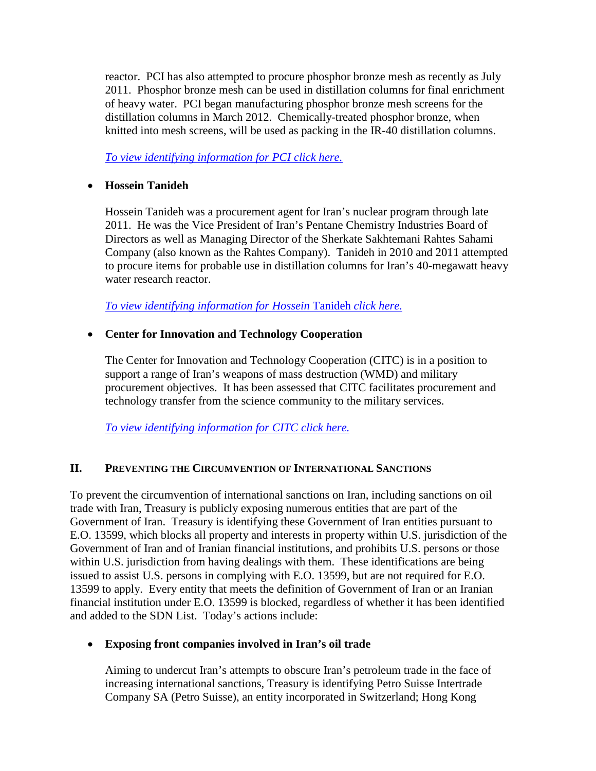reactor. PCI has also attempted to procure phosphor bronze mesh as recently as July 2011. Phosphor bronze mesh can be used in distillation columns for final enrichment of heavy water. PCI began manufacturing phosphor bronze mesh screens for the distillation columns in March 2012. Chemically-treated phosphor bronze, when knitted into mesh screens, will be used as packing in the IR-40 distillation columns.

*[To view identifying information for PCI click here.](http://www.treasury.gov/resource-center/sanctions/OFAC-Enforcement/Pages/20120712.aspx#pci)*

## • **Hossein Tanideh**

Hossein Tanideh was a procurement agent for Iran's nuclear program through late 2011. He was the Vice President of Iran's Pentane Chemistry Industries Board of Directors as well as Managing Director of the Sherkate Sakhtemani Rahtes Sahami Company (also known as the Rahtes Company). Tanideh in 2010 and 2011 attempted to procure items for probable use in distillation columns for Iran's 40-megawatt heavy water research reactor.

*[To view identifying information for Hossein](http://www.treasury.gov/resource-center/sanctions/OFAC-Enforcement/Pages/20120712.aspx#hossein)* Tanideh *click here.*

## • **Center for Innovation and Technology Cooperation**

The Center for Innovation and Technology Cooperation (CITC) is in a position to support a range of Iran's weapons of mass destruction (WMD) and military procurement objectives. It has been assessed that CITC facilitates procurement and technology transfer from the science community to the military services.

*[To view identifying information for CITC click here.](http://www.treasury.gov/resource-center/sanctions/OFAC-Enforcement/Pages/20120712.aspx#citc)*

# **II. PREVENTING THE CIRCUMVENTION OF INTERNATIONAL SANCTIONS**

To prevent the circumvention of international sanctions on Iran, including sanctions on oil trade with Iran, Treasury is publicly exposing numerous entities that are part of the Government of Iran. Treasury is identifying these Government of Iran entities pursuant to E.O. 13599, which blocks all property and interests in property within U.S. jurisdiction of the Government of Iran and of Iranian financial institutions, and prohibits U.S. persons or those within U.S. jurisdiction from having dealings with them. These identifications are being issued to assist U.S. persons in complying with E.O. 13599, but are not required for E.O. 13599 to apply. Every entity that meets the definition of Government of Iran or an Iranian financial institution under E.O. 13599 is blocked, regardless of whether it has been identified and added to the SDN List. Today's actions include:

## • **Exposing front companies involved in Iran's oil trade**

Aiming to undercut Iran's attempts to obscure Iran's petroleum trade in the face of increasing international sanctions, Treasury is identifying Petro Suisse Intertrade Company SA (Petro Suisse), an entity incorporated in Switzerland; Hong Kong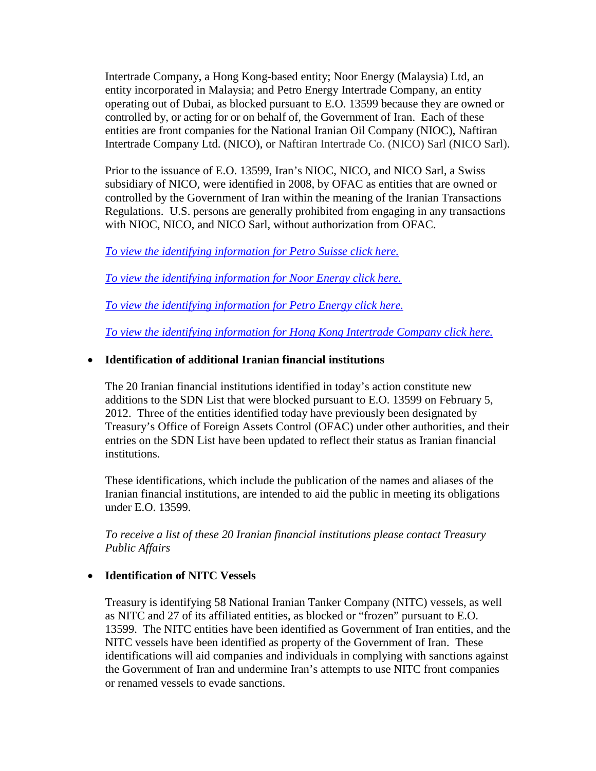Intertrade Company, a Hong Kong-based entity; Noor Energy (Malaysia) Ltd, an entity incorporated in Malaysia; and Petro Energy Intertrade Company, an entity operating out of Dubai, as blocked pursuant to E.O. 13599 because they are owned or controlled by, or acting for or on behalf of, the Government of Iran. Each of these entities are front companies for the National Iranian Oil Company (NIOC), Naftiran Intertrade Company Ltd. (NICO), or Naftiran Intertrade Co. (NICO) Sarl (NICO Sarl).

Prior to the issuance of E.O. 13599, Iran's NIOC, NICO, and NICO Sarl, a Swiss subsidiary of NICO, were identified in 2008, by OFAC as entities that are owned or controlled by the Government of Iran within the meaning of the Iranian Transactions Regulations. U.S. persons are generally prohibited from engaging in any transactions with NIOC, NICO, and NICO Sarl, without authorization from OFAC.

*[To view the identifying information for Petro Suisse click here.](http://www.treasury.gov/resource-center/sanctions/OFAC-Enforcement/Pages/20120712.aspx#ps)*

*[To view the identifying information for Noor Energy click here.](http://www.treasury.gov/resource-center/sanctions/OFAC-Enforcement/Pages/20120712.aspx#noor)*

*[To view the identifying information for Petro Energy click here.](http://www.treasury.gov/resource-center/sanctions/OFAC-Enforcement/Pages/20120712.aspx#pe)*

*[To view the identifying information for Hong Kong Intertrade Company click here.](http://www.treasury.gov/resource-center/sanctions/OFAC-Enforcement/Pages/20120712.aspx#hk)*

## • **Identification of additional Iranian financial institutions**

The 20 Iranian financial institutions identified in today's action constitute new additions to the SDN List that were blocked pursuant to E.O. 13599 on February 5, 2012. Three of the entities identified today have previously been designated by Treasury's Office of Foreign Assets Control (OFAC) under other authorities, and their entries on the SDN List have been updated to reflect their status as Iranian financial institutions.

These identifications, which include the publication of the names and aliases of the Iranian financial institutions, are intended to aid the public in meeting its obligations under E.O. 13599.

*To receive a list of these 20 Iranian financial institutions please contact Treasury Public Affairs*

## • **Identification of NITC Vessels**

Treasury is identifying 58 National Iranian Tanker Company (NITC) vessels, as well as NITC and 27 of its affiliated entities, as blocked or "frozen" pursuant to E.O. 13599. The NITC entities have been identified as Government of Iran entities, and the NITC vessels have been identified as property of the Government of Iran. These identifications will aid companies and individuals in complying with sanctions against the Government of Iran and undermine Iran's attempts to use NITC front companies or renamed vessels to evade sanctions.